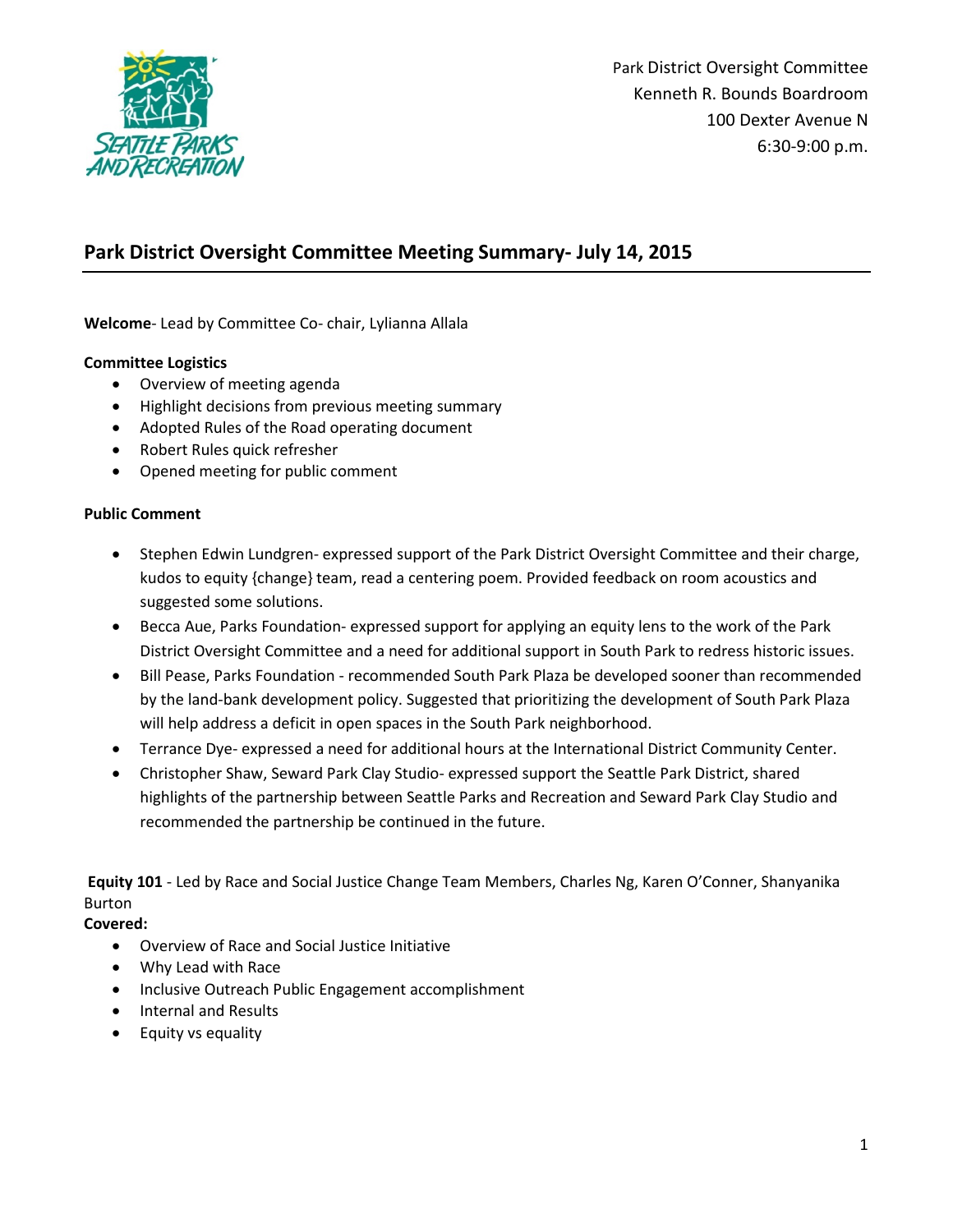

# **Park District Oversight Committee Meeting Summary- July 14, 2015**

**Welcome**- Lead by Committee Co- chair, Lylianna Allala

#### **Committee Logistics**

- Overview of meeting agenda
- Highlight decisions from previous meeting summary
- Adopted Rules of the Road operating document
- Robert Rules quick refresher
- Opened meeting for public comment

#### **Public Comment**

- Stephen Edwin Lundgren- expressed support of the Park District Oversight Committee and their charge, kudos to equity {change} team, read a centering poem. Provided feedback on room acoustics and suggested some solutions.
- Becca Aue, Parks Foundation- expressed support for applying an equity lens to the work of the Park District Oversight Committee and a need for additional support in South Park to redress historic issues.
- Bill Pease, Parks Foundation recommended South Park Plaza be developed sooner than recommended by the land-bank development policy. Suggested that prioritizing the development of South Park Plaza will help address a deficit in open spaces in the South Park neighborhood.
- Terrance Dye- expressed a need for additional hours at the International District Community Center.
- Christopher Shaw, Seward Park Clay Studio- expressed support the Seattle Park District, shared highlights of the partnership between Seattle Parks and Recreation and Seward Park Clay Studio and recommended the partnership be continued in the future.

**Equity 101** - Led by Race and Social Justice Change Team Members, Charles Ng, Karen O'Conner, Shanyanika Burton

#### **Covered:**

- Overview of Race and Social Justice Initiative
- Why Lead with Race
- Inclusive Outreach Public Engagement accomplishment
- Internal and Results
- Equity vs equality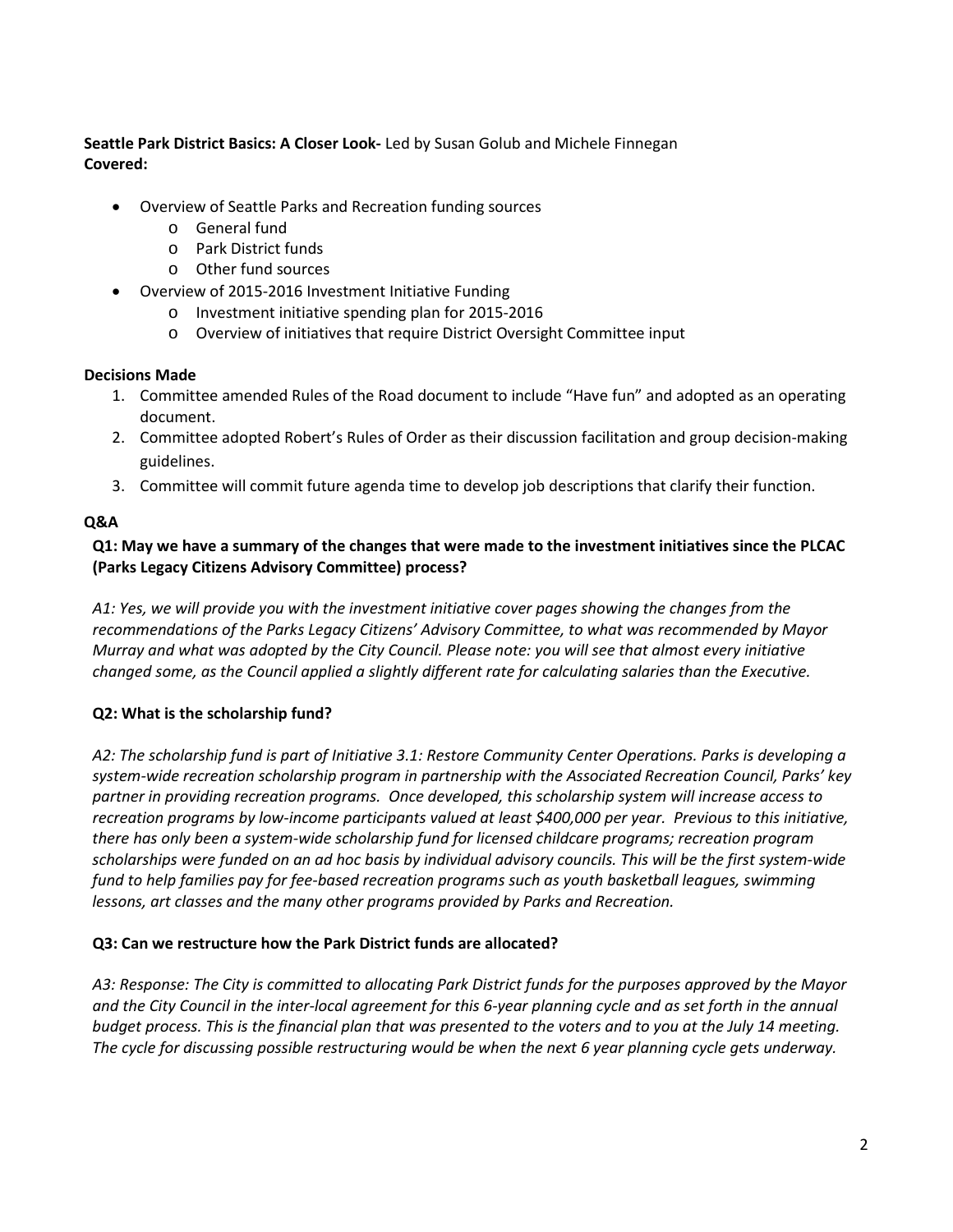**Seattle Park District Basics: A Closer Look-** Led by Susan Golub and Michele Finnegan **Covered:** 

- Overview of Seattle Parks and Recreation funding sources
	- o General fund
	- o Park District funds
	- o Other fund sources
- Overview of 2015-2016 Investment Initiative Funding
	- o Investment initiative spending plan for 2015-2016
	- o Overview of initiatives that require District Oversight Committee input

### **Decisions Made**

- 1. Committee amended Rules of the Road document to include "Have fun" and adopted as an operating document.
- 2. Committee adopted Robert's Rules of Order as their discussion facilitation and group decision-making guidelines.
- 3. Committee will commit future agenda time to develop job descriptions that clarify their function.

## **Q&A**

### **Q1: May we have a summary of the changes that were made to the investment initiatives since the PLCAC (Parks Legacy Citizens Advisory Committee) process?**

*A1: Yes, we will provide you with the investment initiative cover pages showing the changes from the recommendations of the Parks Legacy Citizens' Advisory Committee, to what was recommended by Mayor Murray and what was adopted by the City Council. Please note: you will see that almost every initiative changed some, as the Council applied a slightly different rate for calculating salaries than the Executive.*

# **Q2: What is the scholarship fund?**

*A2: The scholarship fund is part of Initiative 3.1: Restore Community Center Operations. Parks is developing a system-wide recreation scholarship program in partnership with the Associated Recreation Council, Parks' key partner in providing recreation programs. Once developed, this scholarship system will increase access to recreation programs by low-income participants valued at least \$400,000 per year. Previous to this initiative, there has only been a system-wide scholarship fund for licensed childcare programs; recreation program scholarships were funded on an ad hoc basis by individual advisory councils. This will be the first system-wide fund to help families pay for fee-based recreation programs such as youth basketball leagues, swimming lessons, art classes and the many other programs provided by Parks and Recreation.* 

### **Q3: Can we restructure how the Park District funds are allocated?**

*A3: Response: The City is committed to allocating Park District funds for the purposes approved by the Mayor and the City Council in the inter-local agreement for this 6-year planning cycle and as set forth in the annual budget process. This is the financial plan that was presented to the voters and to you at the July 14 meeting. The cycle for discussing possible restructuring would be when the next 6 year planning cycle gets underway.*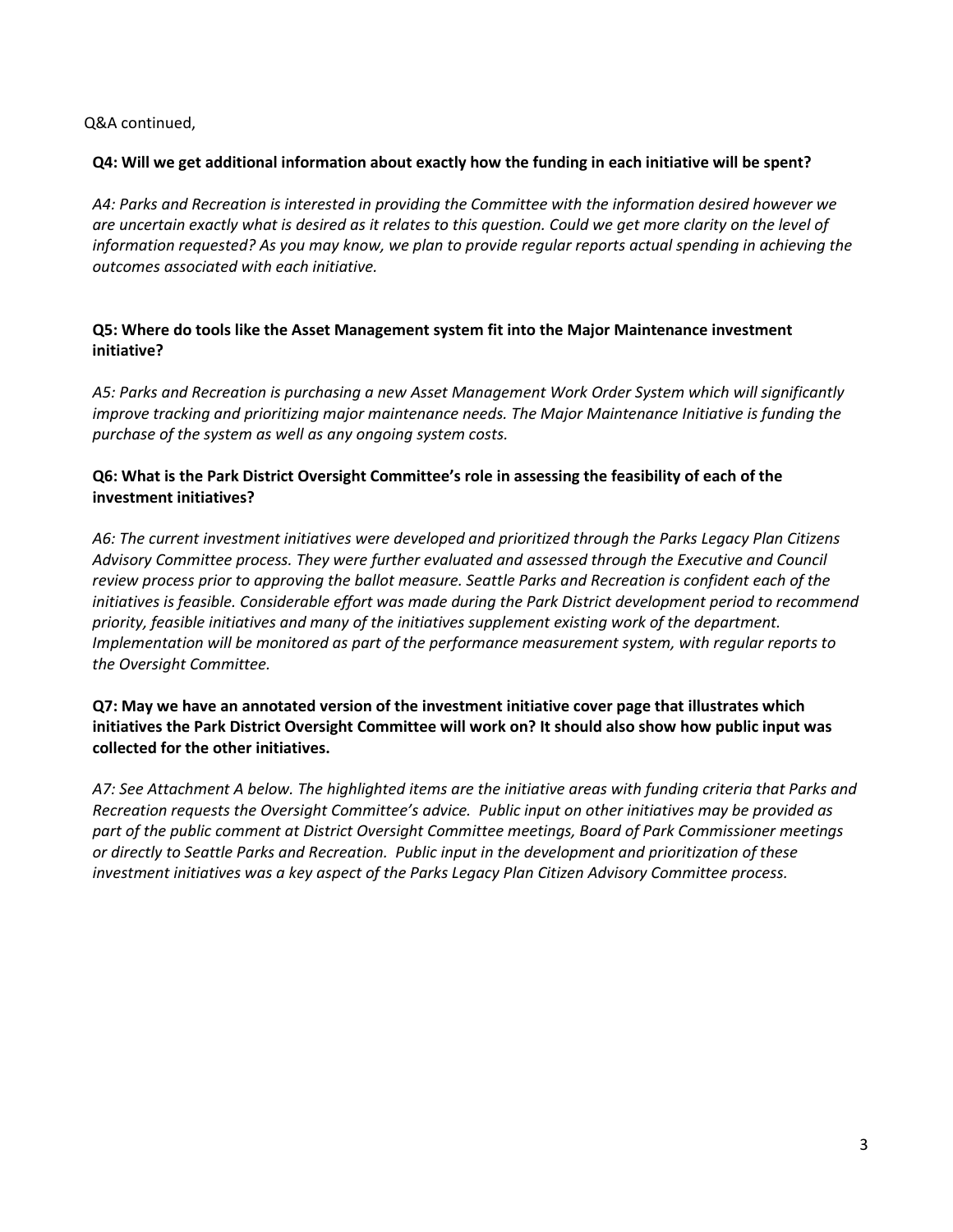Q&A continued,

#### **Q4: Will we get additional information about exactly how the funding in each initiative will be spent?**

*A4: Parks and Recreation is interested in providing the Committee with the information desired however we are uncertain exactly what is desired as it relates to this question. Could we get more clarity on the level of information requested? As you may know, we plan to provide regular reports actual spending in achieving the outcomes associated with each initiative.*

### **Q5: Where do tools like the Asset Management system fit into the Major Maintenance investment initiative?**

*A5: Parks and Recreation is purchasing a new Asset Management Work Order System which will significantly improve tracking and prioritizing major maintenance needs. The Major Maintenance Initiative is funding the purchase of the system as well as any ongoing system costs.*

### **Q6: What is the Park District Oversight Committee's role in assessing the feasibility of each of the investment initiatives?**

*A6: The current investment initiatives were developed and prioritized through the Parks Legacy Plan Citizens Advisory Committee process. They were further evaluated and assessed through the Executive and Council review process prior to approving the ballot measure. Seattle Parks and Recreation is confident each of the initiatives is feasible. Considerable effort was made during the Park District development period to recommend priority, feasible initiatives and many of the initiatives supplement existing work of the department. Implementation will be monitored as part of the performance measurement system, with regular reports to the Oversight Committee.* 

### **Q7: May we have an annotated version of the investment initiative cover page that illustrates which initiatives the Park District Oversight Committee will work on? It should also show how public input was collected for the other initiatives.**

*A7: See Attachment A below. The highlighted items are the initiative areas with funding criteria that Parks and Recreation requests the Oversight Committee's advice. Public input on other initiatives may be provided as part of the public comment at District Oversight Committee meetings, Board of Park Commissioner meetings or directly to Seattle Parks and Recreation. Public input in the development and prioritization of these investment initiatives was a key aspect of the Parks Legacy Plan Citizen Advisory Committee process.*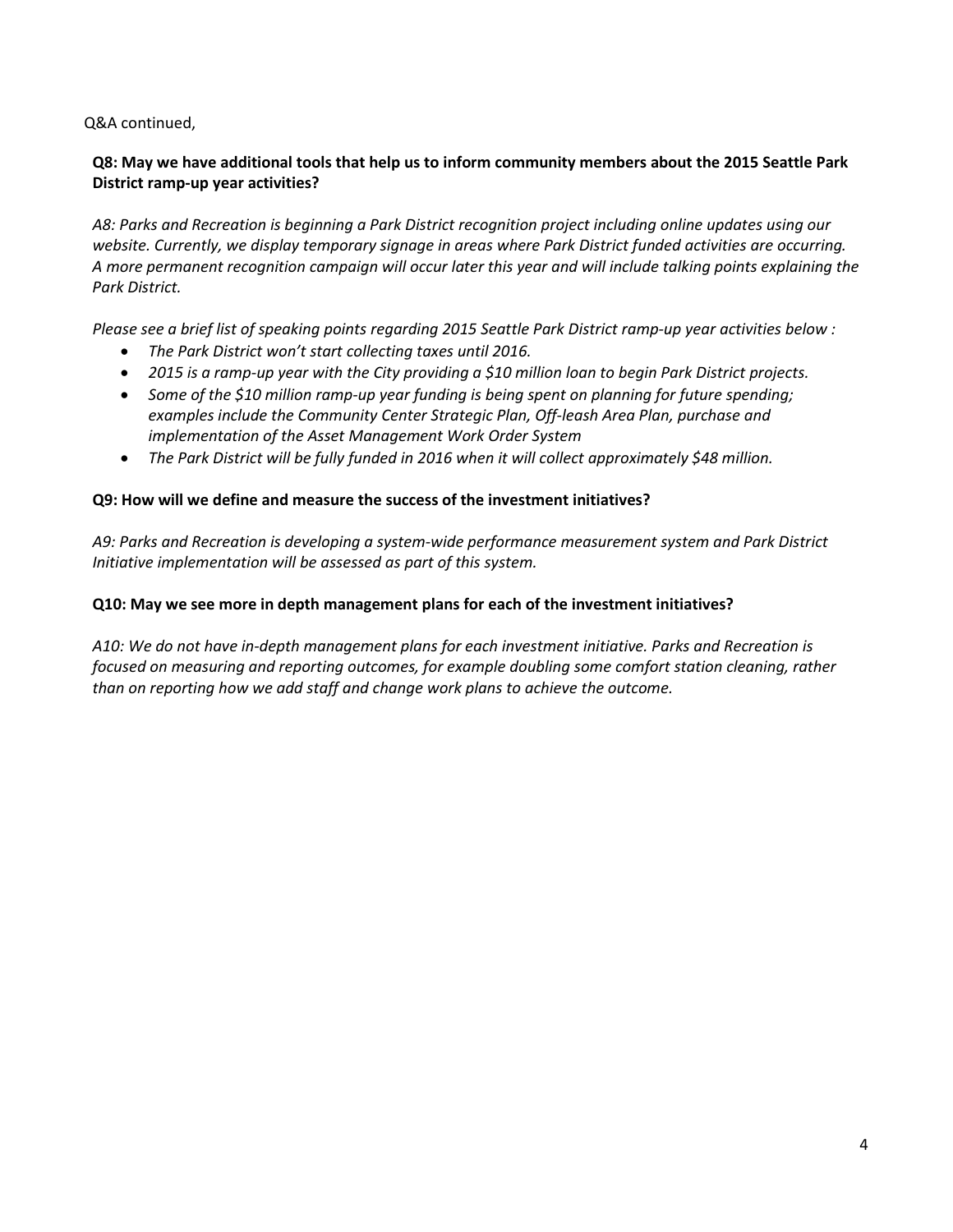Q&A continued,

### **Q8: May we have additional tools that help us to inform community members about the 2015 Seattle Park District ramp-up year activities?**

*A8: Parks and Recreation is beginning a Park District recognition project including online updates using our website. Currently, we display temporary signage in areas where Park District funded activities are occurring. A more permanent recognition campaign will occur later this year and will include talking points explaining the Park District.*

*Please see a brief list of speaking points regarding 2015 Seattle Park District ramp-up year activities below :*

- *The Park District won't start collecting taxes until 2016.*
- *2015 is a ramp-up year with the City providing a \$10 million loan to begin Park District projects.*
- *Some of the \$10 million ramp-up year funding is being spent on planning for future spending; examples include the Community Center Strategic Plan, Off-leash Area Plan, purchase and implementation of the Asset Management Work Order System*
- *The Park District will be fully funded in 2016 when it will collect approximately \$48 million.*

#### **Q9: How will we define and measure the success of the investment initiatives?**

*A9: Parks and Recreation is developing a system-wide performance measurement system and Park District Initiative implementation will be assessed as part of this system.*

#### **Q10: May we see more in depth management plans for each of the investment initiatives?**

*A10: We do not have in-depth management plans for each investment initiative. Parks and Recreation is focused on measuring and reporting outcomes, for example doubling some comfort station cleaning, rather than on reporting how we add staff and change work plans to achieve the outcome.*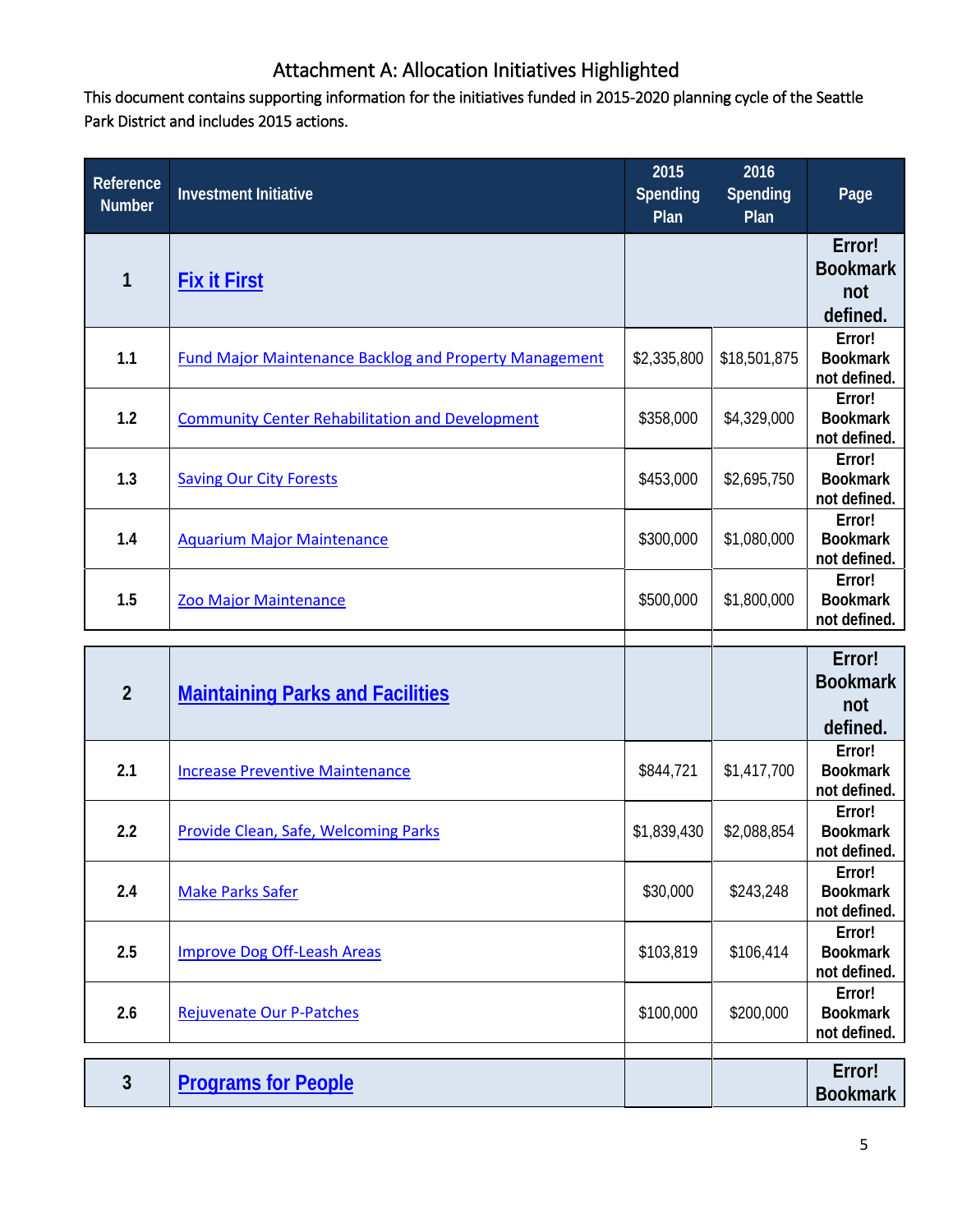# Attachment A: Allocation Initiatives Highlighted

This document contains supporting information for the initiatives funded in 2015-2020 planning cycle of the Seattle Park District and includes 2015 actions.

| <b>Reference</b><br><b>Number</b> | <b>Investment Initiative</b>                                  | 2015<br>Spending<br>Plan | 2016<br>Spending<br>Plan | Page                                         |
|-----------------------------------|---------------------------------------------------------------|--------------------------|--------------------------|----------------------------------------------|
| 1                                 | <b>Fix it First</b>                                           |                          |                          | Error!<br><b>Bookmark</b><br>not<br>defined. |
| 1.1                               | <b>Fund Major Maintenance Backlog and Property Management</b> | \$2,335,800              | \$18,501,875             | Error!<br><b>Bookmark</b><br>not defined.    |
| 1.2                               | <b>Community Center Rehabilitation and Development</b>        | \$358,000                | \$4,329,000              | Error!<br><b>Bookmark</b><br>not defined.    |
| 1.3                               | <b>Saving Our City Forests</b>                                | \$453,000                | \$2,695,750              | Error!<br><b>Bookmark</b><br>not defined.    |
| 1.4                               | <b>Aquarium Major Maintenance</b>                             | \$300,000                | \$1,080,000              | Error!<br><b>Bookmark</b><br>not defined.    |
| 1.5                               | Zoo Major Maintenance                                         | \$500,000                | \$1,800,000              | Error!<br><b>Bookmark</b><br>not defined.    |
| $\overline{2}$                    | <b>Maintaining Parks and Facilities</b>                       |                          |                          | Error!<br><b>Bookmark</b><br>not<br>defined. |
| 2.1                               | <b>Increase Preventive Maintenance</b>                        | \$844,721                | \$1,417,700              | Error!<br><b>Bookmark</b><br>not defined.    |
| 2.2                               | Provide Clean, Safe, Welcoming Parks                          | \$1,839,430              | \$2,088,854              | Error!<br><b>Bookmark</b><br>not defined.    |
| 2.4                               | <b>Make Parks Safer</b>                                       | \$30,000                 | \$243,248                | Error!<br><b>Bookmark</b><br>not defined.    |
| 2.5                               | <b>Improve Dog Off-Leash Areas</b>                            | \$103,819                | \$106,414                | Error!<br><b>Bookmark</b><br>not defined.    |
| 2.6                               | <b>Rejuvenate Our P-Patches</b>                               | \$100,000                | \$200,000                | Error!<br><b>Bookmark</b><br>not defined.    |
|                                   |                                                               |                          |                          |                                              |
| $\mathbf{3}$                      | <b>Programs for People</b>                                    |                          |                          | Error!<br><b>Bookmark</b>                    |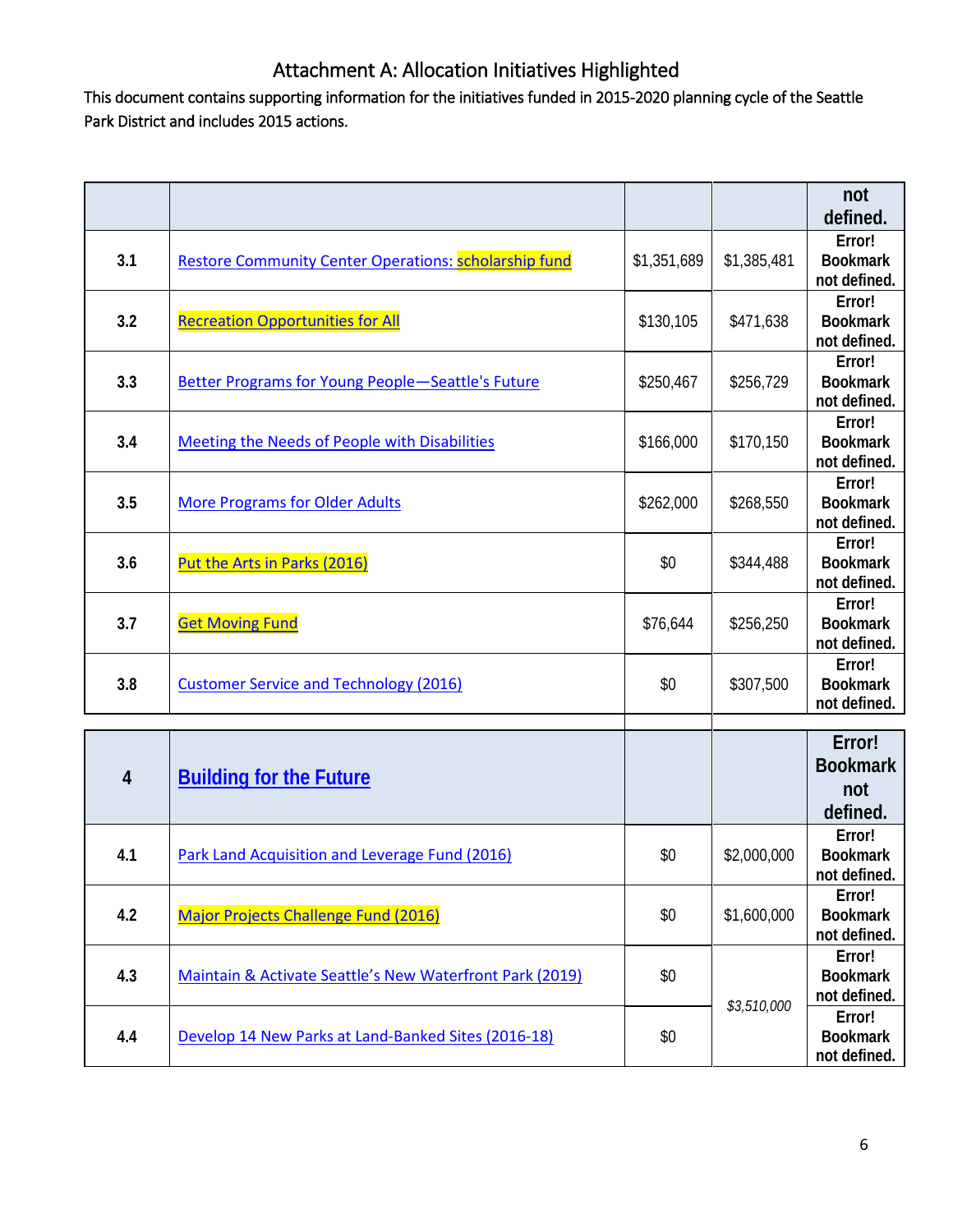# Attachment A: Allocation Initiatives Highlighted

This document contains supporting information for the initiatives funded in 2015-2020 planning cycle of the Seattle Park District and includes 2015 actions.

|     |                                                              |             |             | not<br>defined.                              |
|-----|--------------------------------------------------------------|-------------|-------------|----------------------------------------------|
| 3.1 | <b>Restore Community Center Operations: scholarship fund</b> | \$1,351,689 | \$1,385,481 | Error!<br><b>Bookmark</b><br>not defined.    |
| 3.2 | <b>Recreation Opportunities for All</b>                      | \$130,105   | \$471,638   | Error!<br><b>Bookmark</b><br>not defined.    |
| 3.3 | Better Programs for Young People-Seattle's Future            | \$250,467   | \$256,729   | Error!<br><b>Bookmark</b><br>not defined.    |
| 3.4 | Meeting the Needs of People with Disabilities                | \$166,000   | \$170,150   | Error!<br><b>Bookmark</b><br>not defined.    |
| 3.5 | <b>More Programs for Older Adults</b>                        | \$262,000   | \$268,550   | Error!<br><b>Bookmark</b><br>not defined.    |
| 3.6 | Put the Arts in Parks (2016)                                 | \$0         | \$344,488   | Error!<br><b>Bookmark</b><br>not defined.    |
| 3.7 | <b>Get Moving Fund</b>                                       | \$76,644    | \$256,250   | Error!<br><b>Bookmark</b><br>not defined.    |
| 3.8 | <b>Customer Service and Technology (2016)</b>                | \$0         | \$307,500   | Error!<br><b>Bookmark</b><br>not defined.    |
|     |                                                              |             |             |                                              |
| 4   | <b>Building for the Future</b>                               |             |             | Error!<br><b>Bookmark</b><br>not<br>defined. |
| 4.1 | Park Land Acquisition and Leverage Fund (2016)               | \$0         | \$2,000,000 | Error!<br><b>Bookmark</b><br>not defined.    |
| 4.2 | Major Projects Challenge Fund (2016)                         | \$0         | \$1,600,000 | Error!<br><b>Bookmark</b><br>not defined.    |
| 4.3 | Maintain & Activate Seattle's New Waterfront Park (2019)     | \$0         | \$3,510,000 | Error!<br><b>Bookmark</b><br>not defined.    |
| 4.4 | Develop 14 New Parks at Land-Banked Sites (2016-18)          | \$0         |             | Error!<br><b>Bookmark</b><br>not defined.    |